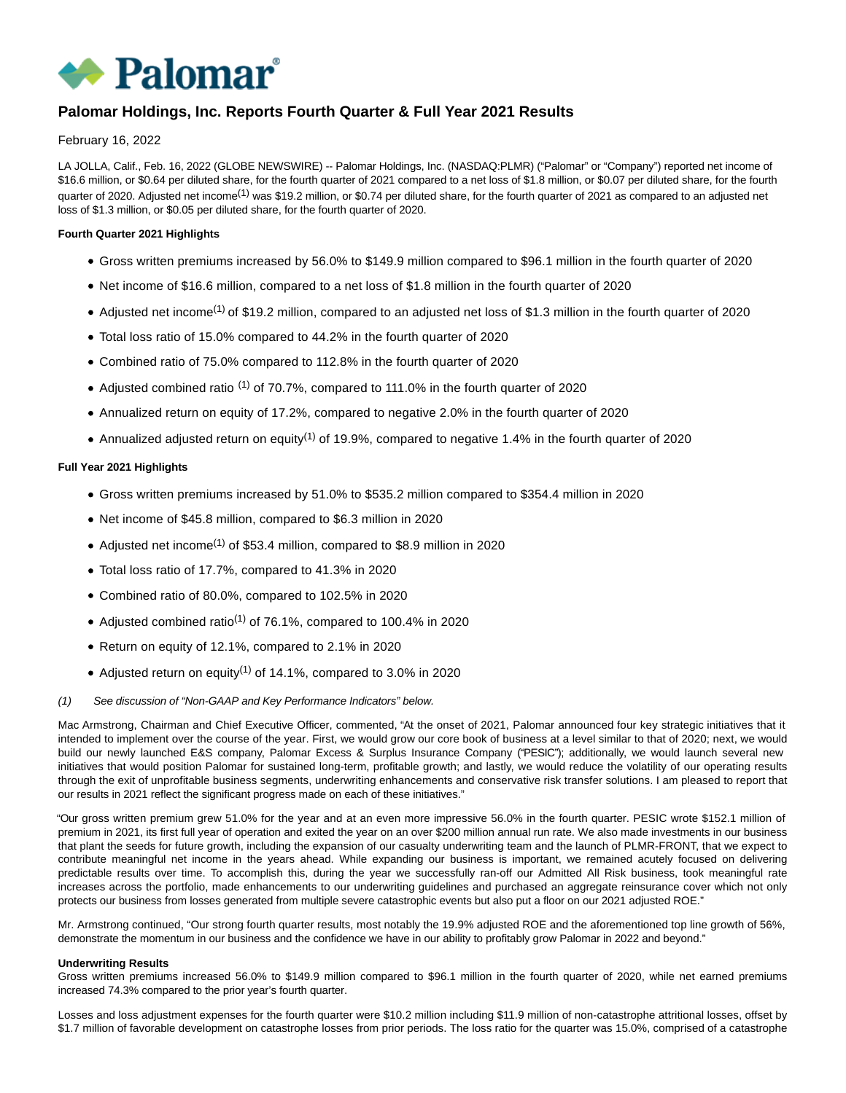

# **Palomar Holdings, Inc. Reports Fourth Quarter & Full Year 2021 Results**

February 16, 2022

LA JOLLA, Calif., Feb. 16, 2022 (GLOBE NEWSWIRE) -- Palomar Holdings, Inc. (NASDAQ:PLMR) ("Palomar" or "Company") reported net income of \$16.6 million, or \$0.64 per diluted share, for the fourth quarter of 2021 compared to a net loss of \$1.8 million, or \$0.07 per diluted share, for the fourth quarter of 2020. Adjusted net income<sup>(1)</sup> was \$19.2 million, or \$0.74 per diluted share, for the fourth quarter of 2021 as compared to an adjusted net loss of \$1.3 million, or \$0.05 per diluted share, for the fourth quarter of 2020.

### **Fourth Quarter 2021 Highlights**

- Gross written premiums increased by 56.0% to \$149.9 million compared to \$96.1 million in the fourth quarter of 2020
- Net income of \$16.6 million, compared to a net loss of \$1.8 million in the fourth quarter of 2020
- Adjusted net income<sup>(1)</sup> of \$19.2 million, compared to an adjusted net loss of \$1.3 million in the fourth quarter of 2020
- Total loss ratio of 15.0% compared to 44.2% in the fourth quarter of 2020
- Combined ratio of 75.0% compared to 112.8% in the fourth quarter of 2020
- Adjusted combined ratio  $(1)$  of 70.7%, compared to 111.0% in the fourth quarter of 2020
- Annualized return on equity of 17.2%, compared to negative 2.0% in the fourth quarter of 2020
- Annualized adjusted return on equity<sup>(1)</sup> of 19.9%, compared to negative 1.4% in the fourth quarter of 2020

### **Full Year 2021 Highlights**

- Gross written premiums increased by 51.0% to \$535.2 million compared to \$354.4 million in 2020
- Net income of \$45.8 million, compared to \$6.3 million in 2020
- Adjusted net income<sup>(1)</sup> of \$53.4 million, compared to \$8.9 million in 2020
- Total loss ratio of 17.7%, compared to 41.3% in 2020
- Combined ratio of 80.0%, compared to 102.5% in 2020
- Adjusted combined ratio<sup>(1)</sup> of 76.1%, compared to 100.4% in 2020
- Return on equity of 12.1%, compared to 2.1% in 2020
- Adjusted return on equity<sup>(1)</sup> of 14.1%, compared to 3.0% in 2020
- (1) See discussion of "Non-GAAP and Key Performance Indicators" below.

Mac Armstrong, Chairman and Chief Executive Officer, commented, "At the onset of 2021, Palomar announced four key strategic initiatives that it intended to implement over the course of the year. First, we would grow our core book of business at a level similar to that of 2020; next, we would build our newly launched E&S company, Palomar Excess & Surplus Insurance Company ("PESIC"); additionally, we would launch several new initiatives that would position Palomar for sustained long-term, profitable growth; and lastly, we would reduce the volatility of our operating results through the exit of unprofitable business segments, underwriting enhancements and conservative risk transfer solutions. I am pleased to report that our results in 2021 reflect the significant progress made on each of these initiatives."

"Our gross written premium grew 51.0% for the year and at an even more impressive 56.0% in the fourth quarter. PESIC wrote \$152.1 million of premium in 2021, its first full year of operation and exited the year on an over \$200 million annual run rate. We also made investments in our business that plant the seeds for future growth, including the expansion of our casualty underwriting team and the launch of PLMR-FRONT, that we expect to contribute meaningful net income in the years ahead. While expanding our business is important, we remained acutely focused on delivering predictable results over time. To accomplish this, during the year we successfully ran-off our Admitted All Risk business, took meaningful rate increases across the portfolio, made enhancements to our underwriting guidelines and purchased an aggregate reinsurance cover which not only protects our business from losses generated from multiple severe catastrophic events but also put a floor on our 2021 adjusted ROE."

Mr. Armstrong continued, "Our strong fourth quarter results, most notably the 19.9% adjusted ROE and the aforementioned top line growth of 56%, demonstrate the momentum in our business and the confidence we have in our ability to profitably grow Palomar in 2022 and beyond."

### **Underwriting Results**

Gross written premiums increased 56.0% to \$149.9 million compared to \$96.1 million in the fourth quarter of 2020, while net earned premiums increased 74.3% compared to the prior year's fourth quarter.

Losses and loss adjustment expenses for the fourth quarter were \$10.2 million including \$11.9 million of non-catastrophe attritional losses, offset by \$1.7 million of favorable development on catastrophe losses from prior periods. The loss ratio for the quarter was 15.0%, comprised of a catastrophe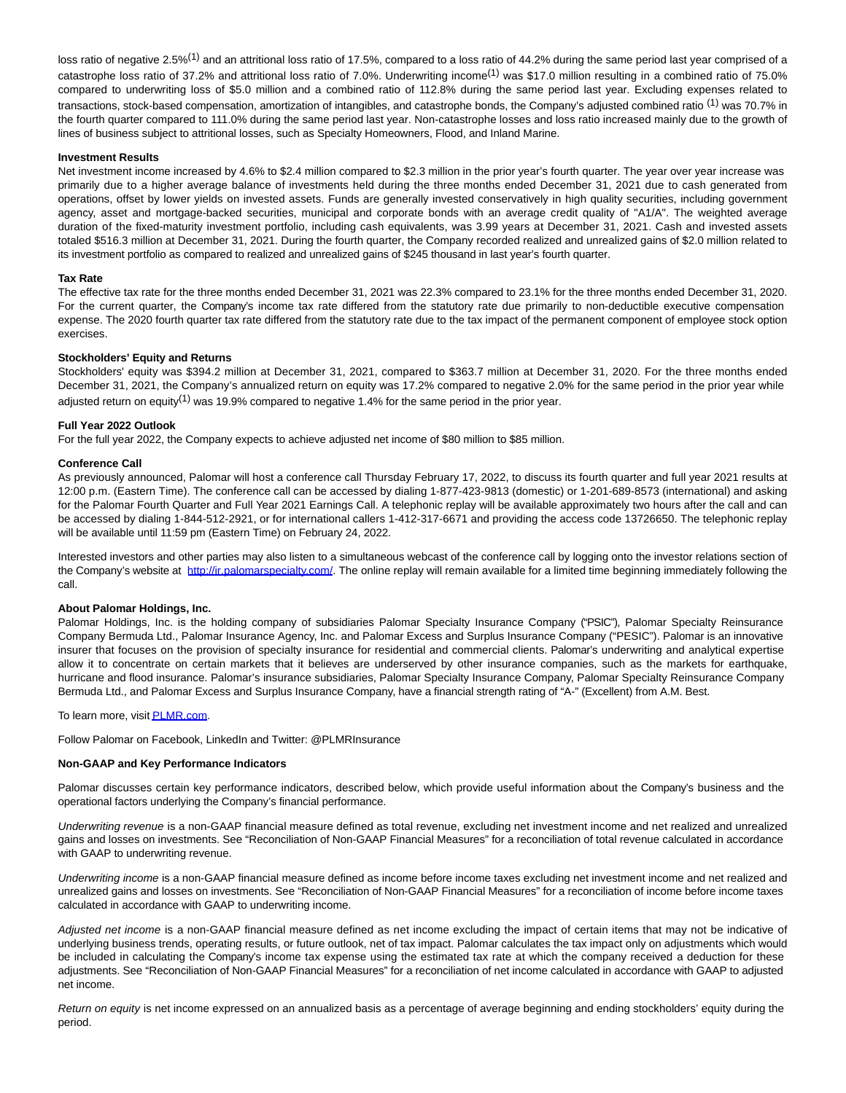loss ratio of negative 2.5%<sup>(1)</sup> and an attritional loss ratio of 17.5%, compared to a loss ratio of 44.2% during the same period last year comprised of a catastrophe loss ratio of 37.2% and attritional loss ratio of 7.0%. Underwriting income<sup>(1)</sup> was \$17.0 million resulting in a combined ratio of 75.0% compared to underwriting loss of \$5.0 million and a combined ratio of 112.8% during the same period last year. Excluding expenses related to transactions, stock-based compensation, amortization of intangibles, and catastrophe bonds, the Company's adjusted combined ratio (1) was 70.7% in the fourth quarter compared to 111.0% during the same period last year. Non-catastrophe losses and loss ratio increased mainly due to the growth of lines of business subject to attritional losses, such as Specialty Homeowners, Flood, and Inland Marine.

### **Investment Results**

Net investment income increased by 4.6% to \$2.4 million compared to \$2.3 million in the prior year's fourth quarter. The year over year increase was primarily due to a higher average balance of investments held during the three months ended December 31, 2021 due to cash generated from operations, offset by lower yields on invested assets. Funds are generally invested conservatively in high quality securities, including government agency, asset and mortgage-backed securities, municipal and corporate bonds with an average credit quality of "A1/A". The weighted average duration of the fixed-maturity investment portfolio, including cash equivalents, was 3.99 years at December 31, 2021. Cash and invested assets totaled \$516.3 million at December 31, 2021. During the fourth quarter, the Company recorded realized and unrealized gains of \$2.0 million related to its investment portfolio as compared to realized and unrealized gains of \$245 thousand in last year's fourth quarter.

#### **Tax Rate**

The effective tax rate for the three months ended December 31, 2021 was 22.3% compared to 23.1% for the three months ended December 31, 2020. For the current quarter, the Company's income tax rate differed from the statutory rate due primarily to non-deductible executive compensation expense. The 2020 fourth quarter tax rate differed from the statutory rate due to the tax impact of the permanent component of employee stock option exercises.

#### **Stockholders' Equity and Returns**

Stockholders' equity was \$394.2 million at December 31, 2021, compared to \$363.7 million at December 31, 2020. For the three months ended December 31, 2021, the Company's annualized return on equity was 17.2% compared to negative 2.0% for the same period in the prior year while adjusted return on equity<sup>(1)</sup> was 19.9% compared to negative 1.4% for the same period in the prior year.

#### **Full Year 2022 Outlook**

For the full year 2022, the Company expects to achieve adjusted net income of \$80 million to \$85 million.

#### **Conference Call**

As previously announced, Palomar will host a conference call Thursday February 17, 2022, to discuss its fourth quarter and full year 2021 results at 12:00 p.m. (Eastern Time). The conference call can be accessed by dialing 1-877-423-9813 (domestic) or 1-201-689-8573 (international) and asking for the Palomar Fourth Quarter and Full Year 2021 Earnings Call. A telephonic replay will be available approximately two hours after the call and can be accessed by dialing 1-844-512-2921, or for international callers 1-412-317-6671 and providing the access code 13726650. The telephonic replay will be available until 11:59 pm (Eastern Time) on February 24, 2022.

Interested investors and other parties may also listen to a simultaneous webcast of the conference call by logging onto the investor relations section of the Company's website at [http://ir.palomarspecialty.com/.](https://www.globenewswire.com/Tracker?data=GqPQNs4KQAdlzcv9pWZoR0qTa3jKNXS2T0E6_qjf7GcTfnbF0LZwPtzv-RBnT_y3Mlxx_K-bDrTyvBG2pC3KOVPXKpQGuAwRsWh_x0uYVtHISe1HvpiRsnpixhbkMtaE) The online replay will remain available for a limited time beginning immediately following the call.

#### **About Palomar Holdings, Inc.**

Palomar Holdings, Inc. is the holding company of subsidiaries Palomar Specialty Insurance Company ("PSIC"), Palomar Specialty Reinsurance Company Bermuda Ltd., Palomar Insurance Agency, Inc. and Palomar Excess and Surplus Insurance Company ("PESIC"). Palomar is an innovative insurer that focuses on the provision of specialty insurance for residential and commercial clients. Palomar's underwriting and analytical expertise allow it to concentrate on certain markets that it believes are underserved by other insurance companies, such as the markets for earthquake, hurricane and flood insurance. Palomar's insurance subsidiaries, Palomar Specialty Insurance Company, Palomar Specialty Reinsurance Company Bermuda Ltd., and Palomar Excess and Surplus Insurance Company, have a financial strength rating of "A-" (Excellent) from A.M. Best.

To learn more, visi[t PLMR.com.](https://www.globenewswire.com/Tracker?data=HM2ixiQ7mgLZ2IPmshFJ03zXLOzzYpgQJkmZYKPSAL6o533HHA50FVcNkMpQKQn4)

Follow Palomar on Facebook, LinkedIn and Twitter: @PLMRInsurance

#### **Non-GAAP and Key Performance Indicators**

Palomar discusses certain key performance indicators, described below, which provide useful information about the Company's business and the operational factors underlying the Company's financial performance.

Underwriting revenue is a non-GAAP financial measure defined as total revenue, excluding net investment income and net realized and unrealized gains and losses on investments. See "Reconciliation of Non-GAAP Financial Measures" for a reconciliation of total revenue calculated in accordance with GAAP to underwriting revenue.

Underwriting income is a non-GAAP financial measure defined as income before income taxes excluding net investment income and net realized and unrealized gains and losses on investments. See "Reconciliation of Non-GAAP Financial Measures" for a reconciliation of income before income taxes calculated in accordance with GAAP to underwriting income.

Adjusted net income is a non-GAAP financial measure defined as net income excluding the impact of certain items that may not be indicative of underlying business trends, operating results, or future outlook, net of tax impact. Palomar calculates the tax impact only on adjustments which would be included in calculating the Company's income tax expense using the estimated tax rate at which the company received a deduction for these adjustments. See "Reconciliation of Non-GAAP Financial Measures" for a reconciliation of net income calculated in accordance with GAAP to adjusted net income.

Return on equity is net income expressed on an annualized basis as a percentage of average beginning and ending stockholders' equity during the period.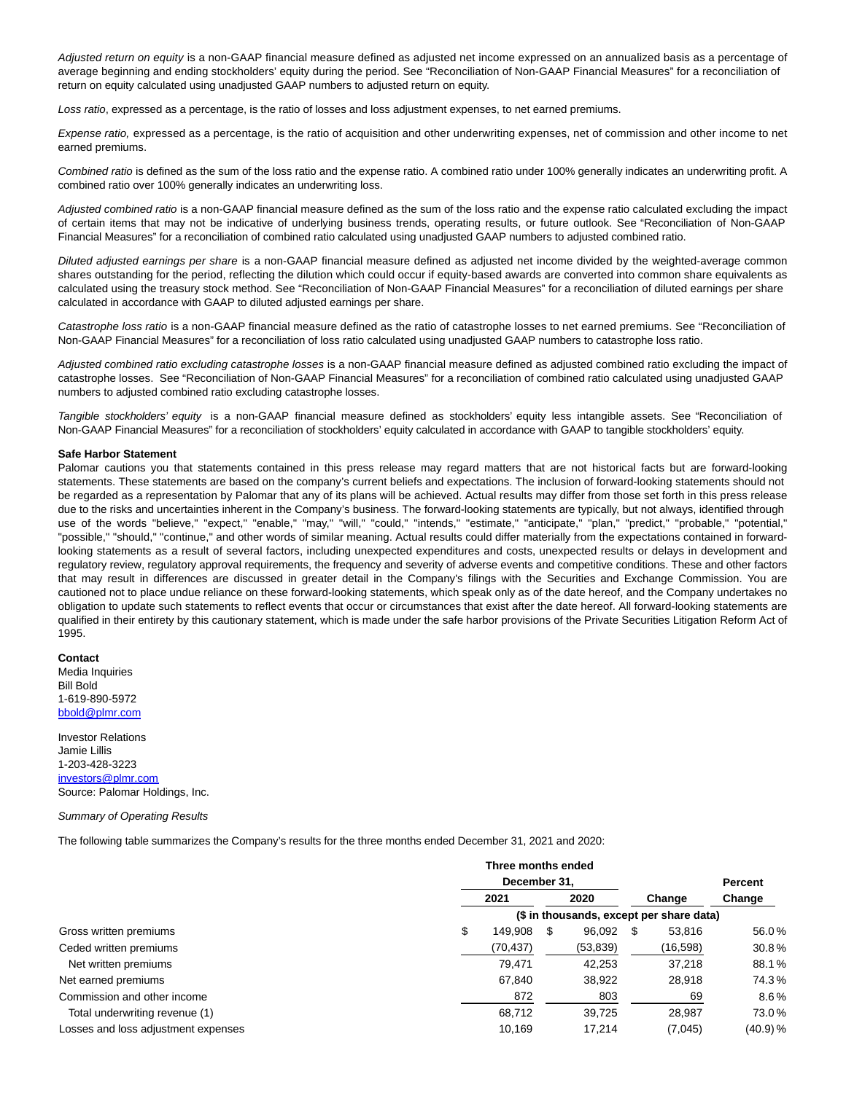Adjusted return on equity is a non-GAAP financial measure defined as adjusted net income expressed on an annualized basis as a percentage of average beginning and ending stockholders' equity during the period. See "Reconciliation of Non-GAAP Financial Measures" for a reconciliation of return on equity calculated using unadjusted GAAP numbers to adjusted return on equity.

Loss ratio, expressed as a percentage, is the ratio of losses and loss adjustment expenses, to net earned premiums.

Expense ratio, expressed as a percentage, is the ratio of acquisition and other underwriting expenses, net of commission and other income to net earned premiums.

Combined ratio is defined as the sum of the loss ratio and the expense ratio. A combined ratio under 100% generally indicates an underwriting profit. A combined ratio over 100% generally indicates an underwriting loss.

Adjusted combined ratio is a non-GAAP financial measure defined as the sum of the loss ratio and the expense ratio calculated excluding the impact of certain items that may not be indicative of underlying business trends, operating results, or future outlook. See "Reconciliation of Non-GAAP Financial Measures" for a reconciliation of combined ratio calculated using unadjusted GAAP numbers to adjusted combined ratio.

Diluted adjusted earnings per share is a non-GAAP financial measure defined as adjusted net income divided by the weighted-average common shares outstanding for the period, reflecting the dilution which could occur if equity-based awards are converted into common share equivalents as calculated using the treasury stock method. See "Reconciliation of Non-GAAP Financial Measures" for a reconciliation of diluted earnings per share calculated in accordance with GAAP to diluted adjusted earnings per share.

Catastrophe loss ratio is a non-GAAP financial measure defined as the ratio of catastrophe losses to net earned premiums. See "Reconciliation of Non-GAAP Financial Measures" for a reconciliation of loss ratio calculated using unadjusted GAAP numbers to catastrophe loss ratio.

Adjusted combined ratio excluding catastrophe losses is a non-GAAP financial measure defined as adjusted combined ratio excluding the impact of catastrophe losses. See "Reconciliation of Non-GAAP Financial Measures" for a reconciliation of combined ratio calculated using unadjusted GAAP numbers to adjusted combined ratio excluding catastrophe losses.

Tangible stockholders' equity is a non-GAAP financial measure defined as stockholders' equity less intangible assets. See "Reconciliation of Non-GAAP Financial Measures" for a reconciliation of stockholders' equity calculated in accordance with GAAP to tangible stockholders' equity.

#### **Safe Harbor Statement**

Palomar cautions you that statements contained in this press release may regard matters that are not historical facts but are forward-looking statements. These statements are based on the company's current beliefs and expectations. The inclusion of forward-looking statements should not be regarded as a representation by Palomar that any of its plans will be achieved. Actual results may differ from those set forth in this press release due to the risks and uncertainties inherent in the Company's business. The forward-looking statements are typically, but not always, identified through use of the words "believe," "expect," "enable," "may," "will," "could," "intends," "estimate," "anticipate," "plan," "predict," "probable," "potential," "possible," "should," "continue," and other words of similar meaning. Actual results could differ materially from the expectations contained in forwardlooking statements as a result of several factors, including unexpected expenditures and costs, unexpected results or delays in development and regulatory review, regulatory approval requirements, the frequency and severity of adverse events and competitive conditions. These and other factors that may result in differences are discussed in greater detail in the Company's filings with the Securities and Exchange Commission. You are cautioned not to place undue reliance on these forward-looking statements, which speak only as of the date hereof, and the Company undertakes no obligation to update such statements to reflect events that occur or circumstances that exist after the date hereof. All forward-looking statements are qualified in their entirety by this cautionary statement, which is made under the safe harbor provisions of the Private Securities Litigation Reform Act of 1995.

#### **Contact**

Media Inquiries Bill Bold 1-619-890-5972 [bbold@plmr.com](https://www.globenewswire.com/Tracker?data=2rMPqSE_jDSSi-IV_uXiJn9kgPUHeB39KYQYWJPPqgmoOa7ILdSBLwBVZ5_MX0zBUOw4c-n6ZCcxHd_4V9bSjw==)

Investor Relations Jamie Lillis 1-203-428-3223 [investors@plmr.com](https://www.globenewswire.com/Tracker?data=EjpXDU22rVjf_78z4BMMYK2ETzLygkSK9u7RlVrPSmNYRrMnORNgY72Xai82iXiL_12_u1B8qy4RL--u4vtW4TwlRbxCDhlzj_wvrifULX4=)  Source: Palomar Holdings, Inc.

### Summary of Operating Results

The following table summarizes the Company's results for the three months ended December 31, 2021 and 2020:

|                                     | Three months ended |             |                                                                  |          |  |  |
|-------------------------------------|--------------------|-------------|------------------------------------------------------------------|----------|--|--|
|                                     | December 31.       |             | Percent<br>Change<br>56.0%<br>30.8%<br>88.1%<br>74.3%<br>$8.6\%$ |          |  |  |
|                                     | 2021               | 2020        | Change                                                           |          |  |  |
|                                     |                    |             | (\$ in thousands, except per share data)                         |          |  |  |
| Gross written premiums              | \$<br>149.908      | 96.092<br>S | 53,816<br>S                                                      |          |  |  |
| Ceded written premiums              | (70,437)           | (53, 839)   | (16, 598)                                                        |          |  |  |
| Net written premiums                | 79.471             | 42.253      | 37.218                                                           |          |  |  |
| Net earned premiums                 | 67,840             | 38,922      | 28,918                                                           |          |  |  |
| Commission and other income         | 872                | 803         | 69                                                               |          |  |  |
| Total underwriting revenue (1)      | 68,712             | 39.725      | 28,987                                                           | 73.0%    |  |  |
| Losses and loss adjustment expenses | 10.169             | 17.214      | (7,045)                                                          | (40.9) % |  |  |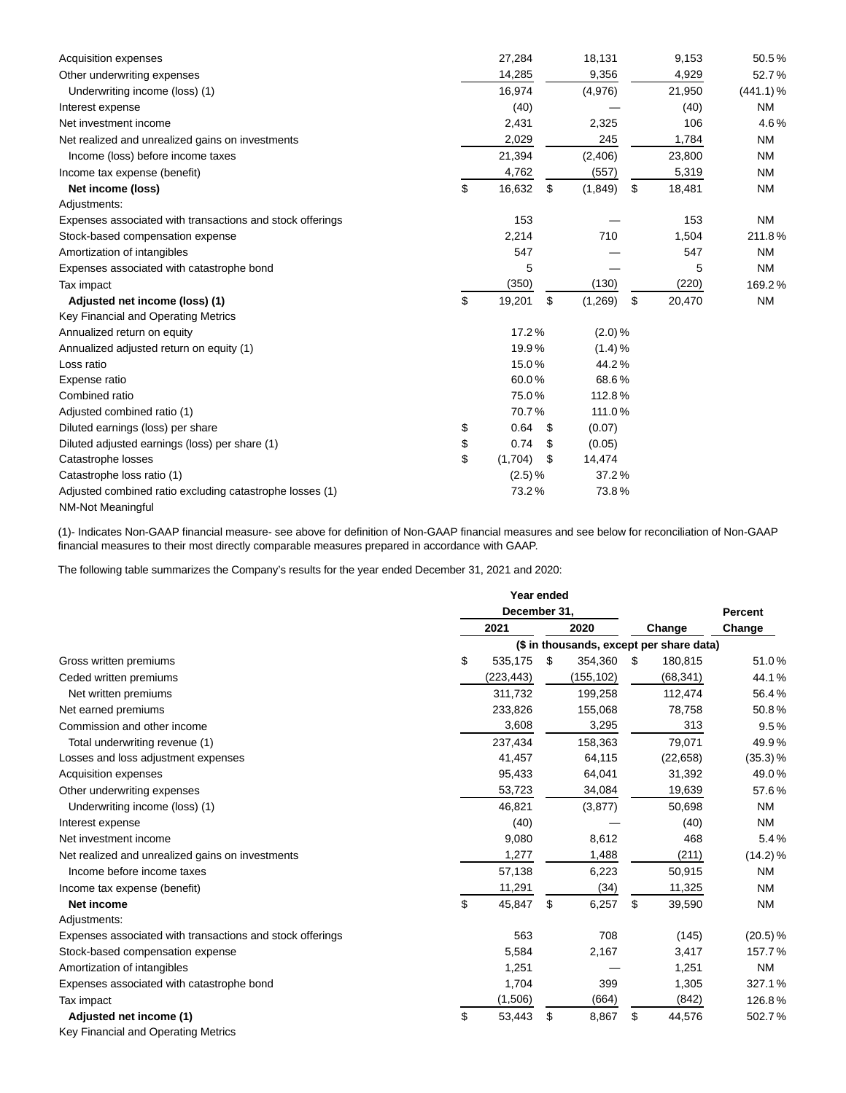| Acquisition expenses                                      | 27,284        |      | 18,131    | 9,153        | 50.5%       |
|-----------------------------------------------------------|---------------|------|-----------|--------------|-------------|
| Other underwriting expenses                               | 14,285        |      | 9,356     | 4,929        | 52.7%       |
| Underwriting income (loss) (1)                            | 16,974        |      | (4,976)   | 21,950       | $(441.1)$ % |
| Interest expense                                          | (40)          |      |           | (40)         | <b>NM</b>   |
| Net investment income                                     | 2,431         |      | 2,325     | 106          | 4.6%        |
| Net realized and unrealized gains on investments          | 2,029         |      | 245       | 1,784        | <b>NM</b>   |
| Income (loss) before income taxes                         | 21,394        |      | (2, 406)  | 23,800       | <b>NM</b>   |
| Income tax expense (benefit)                              | 4,762         |      | (557)     | 5,319        | <b>NM</b>   |
| Net income (loss)                                         | \$<br>16,632  | \$   | (1,849)   | \$<br>18,481 | NM          |
| Adjustments:                                              |               |      |           |              |             |
| Expenses associated with transactions and stock offerings | 153           |      |           | 153          | <b>NM</b>   |
| Stock-based compensation expense                          | 2,214         |      | 710       | 1,504        | 211.8%      |
| Amortization of intangibles                               | 547           |      |           | 547          | <b>NM</b>   |
| Expenses associated with catastrophe bond                 | 5             |      |           | 5            | <b>NM</b>   |
| Tax impact                                                | (350)         |      | (130)     | (220)        | 169.2%      |
| Adjusted net income (loss) (1)                            | \$<br>19,201  | \$   | (1,269)   | \$<br>20,470 | <b>NM</b>   |
| Key Financial and Operating Metrics                       |               |      |           |              |             |
| Annualized return on equity                               | 17.2%         |      | $(2.0)\%$ |              |             |
| Annualized adjusted return on equity (1)                  | 19.9%         |      | $(1.4)$ % |              |             |
| Loss ratio                                                | 15.0%         |      | 44.2%     |              |             |
| Expense ratio                                             | 60.0%         |      | 68.6%     |              |             |
| Combined ratio                                            | 75.0%         |      | 112.8%    |              |             |
| Adjusted combined ratio (1)                               | 70.7%         |      | 111.0%    |              |             |
| Diluted earnings (loss) per share                         | \$<br>0.64    | - \$ | (0.07)    |              |             |
| Diluted adjusted earnings (loss) per share (1)            | \$<br>0.74    | S    | (0.05)    |              |             |
| Catastrophe losses                                        | \$<br>(1,704) | \$   | 14,474    |              |             |
| Catastrophe loss ratio (1)                                | (2.5) %       |      | 37.2%     |              |             |
| Adjusted combined ratio excluding catastrophe losses (1)  | 73.2%         |      | 73.8%     |              |             |
| <b>NM-Not Meaningful</b>                                  |               |      |           |              |             |

(1)- Indicates Non-GAAP financial measure- see above for definition of Non-GAAP financial measures and see below for reconciliation of Non-GAAP financial measures to their most directly comparable measures prepared in accordance with GAAP.

The following table summarizes the Company's results for the year ended December 31, 2021 and 2020:

|                                                           |              | Year ended |    |            |      |                                          |                |  |
|-----------------------------------------------------------|--------------|------------|----|------------|------|------------------------------------------|----------------|--|
|                                                           | December 31. |            |    |            |      |                                          | <b>Percent</b> |  |
|                                                           |              | 2021       |    | 2020       |      | Change                                   | Change         |  |
|                                                           |              |            |    |            |      | (\$ in thousands, except per share data) |                |  |
| Gross written premiums                                    | \$           | 535,175    | S  | 354,360    | - \$ | 180,815                                  | 51.0%          |  |
| Ceded written premiums                                    |              | (223, 443) |    | (155, 102) |      | (68, 341)                                | 44.1%          |  |
| Net written premiums                                      |              | 311,732    |    | 199,258    |      | 112,474                                  | 56.4%          |  |
| Net earned premiums                                       |              | 233,826    |    | 155,068    |      | 78,758                                   | 50.8%          |  |
| Commission and other income                               |              | 3,608      |    | 3,295      |      | 313                                      | 9.5%           |  |
| Total underwriting revenue (1)                            |              | 237,434    |    | 158,363    |      | 79,071                                   | 49.9%          |  |
| Losses and loss adjustment expenses                       |              | 41,457     |    | 64,115     |      | (22, 658)                                | (35.3) %       |  |
| Acquisition expenses                                      |              | 95,433     |    | 64,041     |      | 31,392                                   | 49.0%          |  |
| Other underwriting expenses                               |              | 53,723     |    | 34,084     |      | 19,639                                   | 57.6%          |  |
| Underwriting income (loss) (1)                            |              | 46,821     |    | (3, 877)   |      | 50,698                                   | <b>NM</b>      |  |
| Interest expense                                          |              | (40)       |    |            |      | (40)                                     | <b>NM</b>      |  |
| Net investment income                                     |              | 9,080      |    | 8,612      |      | 468                                      | 5.4%           |  |
| Net realized and unrealized gains on investments          |              | 1,277      |    | 1,488      |      | (211)                                    | $(14.2)\%$     |  |
| Income before income taxes                                |              | 57,138     |    | 6,223      |      | 50,915                                   | <b>NM</b>      |  |
| Income tax expense (benefit)                              |              | 11,291     |    | (34)       |      | 11,325                                   | <b>NM</b>      |  |
| <b>Net income</b>                                         | \$           | 45,847     | \$ | 6,257      | \$   | 39,590                                   | <b>NM</b>      |  |
| Adjustments:                                              |              |            |    |            |      |                                          |                |  |
| Expenses associated with transactions and stock offerings |              | 563        |    | 708        |      | (145)                                    | (20.5) %       |  |
| Stock-based compensation expense                          |              | 5,584      |    | 2,167      |      | 3,417                                    | 157.7%         |  |
| Amortization of intangibles                               |              | 1,251      |    |            |      | 1,251                                    | <b>NM</b>      |  |
| Expenses associated with catastrophe bond                 |              | 1,704      |    | 399        |      | 1,305                                    | 327.1%         |  |
| Tax impact                                                |              | (1,506)    |    | (664)      |      | (842)                                    | 126.8%         |  |
| Adjusted net income (1)                                   | \$           | 53,443     | \$ | 8,867      | \$   | 44,576                                   | 502.7%         |  |
| Key Financial and Operating Metrics                       |              |            |    |            |      |                                          |                |  |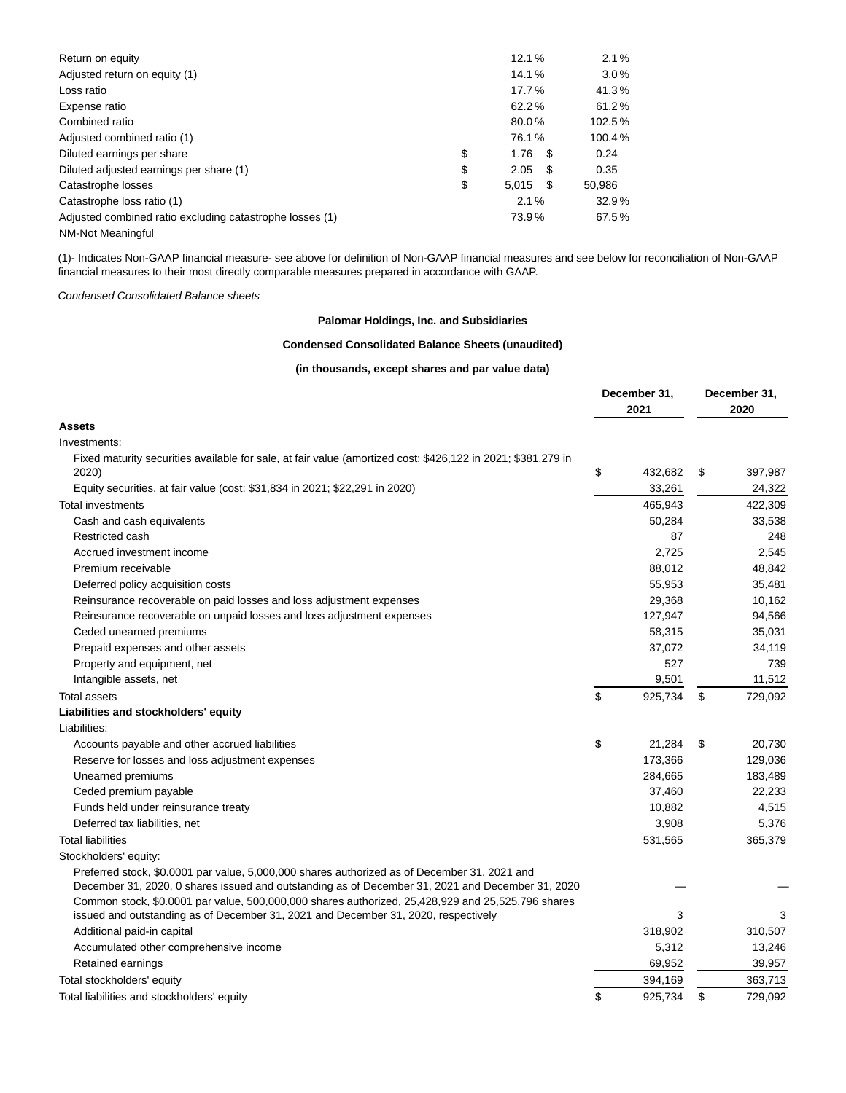| Return on equity                                         | 12.1%              | 2.1%    |
|----------------------------------------------------------|--------------------|---------|
| Adjusted return on equity (1)                            | 14.1%              | $3.0\%$ |
| Loss ratio                                               | 17.7%              | 41.3%   |
| Expense ratio                                            | 62.2%              | 61.2%   |
| Combined ratio                                           | 80.0%              | 102.5%  |
| Adjusted combined ratio (1)                              | 76.1%              | 100.4%  |
| Diluted earnings per share                               | \$<br>1.76<br>- \$ | 0.24    |
| Diluted adjusted earnings per share (1)                  | \$<br>\$<br>2.05   | 0.35    |
| Catastrophe losses                                       | \$<br>-\$<br>5.015 | 50.986  |
| Catastrophe loss ratio (1)                               | 2.1%               | 32.9%   |
| Adjusted combined ratio excluding catastrophe losses (1) | 73.9%              | 67.5%   |
| NM-Not Meaningful                                        |                    |         |

(1)- Indicates Non-GAAP financial measure- see above for definition of Non-GAAP financial measures and see below for reconciliation of Non-GAAP financial measures to their most directly comparable measures prepared in accordance with GAAP.

### Condensed Consolidated Balance sheets

## **Palomar Holdings, Inc. and Subsidiaries**

### **Condensed Consolidated Balance Sheets (unaudited)**

### **(in thousands, except shares and par value data)**

|                                                                                                                                                                                                  | December 31,<br>2021 | December 31,<br>2020 |
|--------------------------------------------------------------------------------------------------------------------------------------------------------------------------------------------------|----------------------|----------------------|
| <b>Assets</b>                                                                                                                                                                                    |                      |                      |
| Investments:                                                                                                                                                                                     |                      |                      |
| Fixed maturity securities available for sale, at fair value (amortized cost: \$426,122 in 2021; \$381,279 in<br>2020)                                                                            | \$<br>432,682        | \$<br>397,987        |
| Equity securities, at fair value (cost: \$31,834 in 2021; \$22,291 in 2020)                                                                                                                      | 33,261               | 24,322               |
| <b>Total investments</b>                                                                                                                                                                         | 465,943              | 422,309              |
| Cash and cash equivalents                                                                                                                                                                        | 50,284               | 33,538               |
| Restricted cash                                                                                                                                                                                  | 87                   | 248                  |
| Accrued investment income                                                                                                                                                                        | 2,725                | 2,545                |
| Premium receivable                                                                                                                                                                               | 88,012               | 48,842               |
| Deferred policy acquisition costs                                                                                                                                                                | 55,953               | 35,481               |
| Reinsurance recoverable on paid losses and loss adjustment expenses                                                                                                                              | 29,368               | 10,162               |
| Reinsurance recoverable on unpaid losses and loss adjustment expenses                                                                                                                            | 127,947              | 94,566               |
| Ceded unearned premiums                                                                                                                                                                          | 58,315               | 35,031               |
| Prepaid expenses and other assets                                                                                                                                                                | 37,072               | 34,119               |
| Property and equipment, net                                                                                                                                                                      | 527                  | 739                  |
| Intangible assets, net                                                                                                                                                                           | 9,501                | 11,512               |
| Total assets                                                                                                                                                                                     | \$<br>925,734        | \$<br>729,092        |
| Liabilities and stockholders' equity                                                                                                                                                             |                      |                      |
| Liabilities:                                                                                                                                                                                     |                      |                      |
| Accounts payable and other accrued liabilities                                                                                                                                                   | \$<br>21,284         | \$<br>20,730         |
| Reserve for losses and loss adjustment expenses                                                                                                                                                  | 173,366              | 129,036              |
| Unearned premiums                                                                                                                                                                                | 284,665              | 183,489              |
| Ceded premium payable                                                                                                                                                                            | 37,460               | 22,233               |
| Funds held under reinsurance treaty                                                                                                                                                              | 10,882               | 4,515                |
| Deferred tax liabilities, net                                                                                                                                                                    | 3,908                | 5,376                |
| <b>Total liabilities</b>                                                                                                                                                                         | 531,565              | 365,379              |
| Stockholders' equity:                                                                                                                                                                            |                      |                      |
| Preferred stock, \$0.0001 par value, 5,000,000 shares authorized as of December 31, 2021 and<br>December 31, 2020, 0 shares issued and outstanding as of December 31, 2021 and December 31, 2020 |                      |                      |
| Common stock, \$0.0001 par value, 500,000,000 shares authorized, 25,428,929 and 25,525,796 shares<br>issued and outstanding as of December 31, 2021 and December 31, 2020, respectively          | 3                    | 3                    |
| Additional paid-in capital                                                                                                                                                                       | 318,902              | 310,507              |
| Accumulated other comprehensive income                                                                                                                                                           | 5,312                | 13,246               |
| Retained earnings                                                                                                                                                                                | 69,952               | 39,957               |
| Total stockholders' equity                                                                                                                                                                       | 394,169              | 363,713              |
| Total liabilities and stockholders' equity                                                                                                                                                       | \$<br>925,734        | \$<br>729,092        |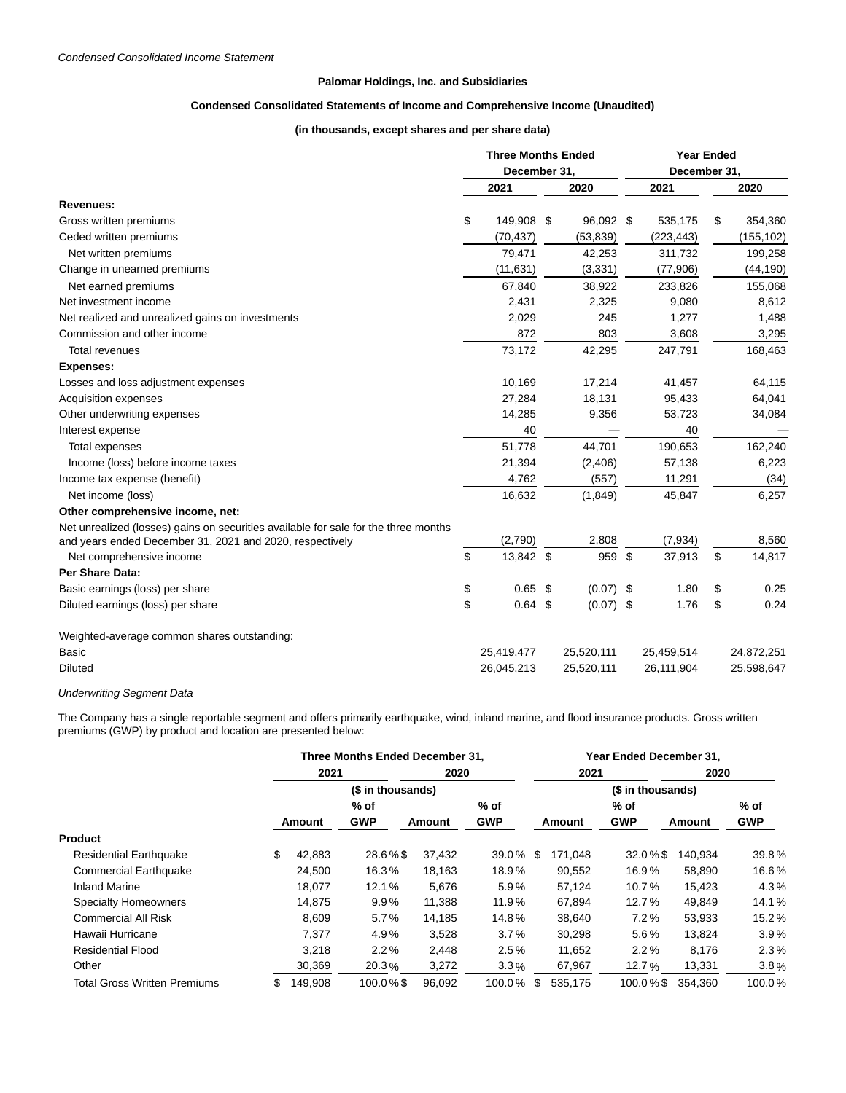### **Palomar Holdings, Inc. and Subsidiaries**

## **Condensed Consolidated Statements of Income and Comprehensive Income (Unaudited)**

## **(in thousands, except shares and per share data)**

|                                                                                     | <b>Three Months Ended</b><br>December 31, |            |  |             |  | <b>Year Ended</b> |              |            |  |  |
|-------------------------------------------------------------------------------------|-------------------------------------------|------------|--|-------------|--|-------------------|--------------|------------|--|--|
|                                                                                     |                                           |            |  |             |  |                   | December 31, |            |  |  |
|                                                                                     |                                           | 2021       |  | 2020        |  | 2021              |              | 2020       |  |  |
| Revenues:                                                                           |                                           |            |  |             |  |                   |              |            |  |  |
| Gross written premiums                                                              | \$                                        | 149,908 \$ |  | 96,092 \$   |  | 535,175           | \$           | 354,360    |  |  |
| Ceded written premiums                                                              |                                           | (70, 437)  |  | (53, 839)   |  | (223, 443)        |              | (155, 102) |  |  |
| Net written premiums                                                                |                                           | 79,471     |  | 42,253      |  | 311,732           |              | 199,258    |  |  |
| Change in unearned premiums                                                         |                                           | (11, 631)  |  | (3,331)     |  | (77,906)          |              | (44, 190)  |  |  |
| Net earned premiums                                                                 |                                           | 67,840     |  | 38,922      |  | 233,826           |              | 155,068    |  |  |
| Net investment income                                                               |                                           | 2,431      |  | 2,325       |  | 9,080             |              | 8,612      |  |  |
| Net realized and unrealized gains on investments                                    |                                           | 2,029      |  | 245         |  | 1,277             |              | 1,488      |  |  |
| Commission and other income                                                         |                                           | 872        |  | 803         |  | 3,608             |              | 3,295      |  |  |
| Total revenues                                                                      |                                           | 73,172     |  | 42,295      |  | 247,791           |              | 168,463    |  |  |
| <b>Expenses:</b>                                                                    |                                           |            |  |             |  |                   |              |            |  |  |
| Losses and loss adjustment expenses                                                 |                                           | 10,169     |  | 17,214      |  | 41,457            |              | 64,115     |  |  |
| Acquisition expenses                                                                |                                           | 27,284     |  | 18,131      |  | 95,433            |              | 64,041     |  |  |
| Other underwriting expenses                                                         |                                           | 14,285     |  | 9,356       |  | 53,723            |              | 34,084     |  |  |
| Interest expense                                                                    |                                           | 40         |  |             |  | 40                |              |            |  |  |
| Total expenses                                                                      |                                           | 51,778     |  | 44,701      |  | 190,653           |              | 162,240    |  |  |
| Income (loss) before income taxes                                                   |                                           | 21,394     |  | (2,406)     |  | 57,138            |              | 6,223      |  |  |
| Income tax expense (benefit)                                                        |                                           | 4,762      |  | (557)       |  | 11,291            |              | (34)       |  |  |
| Net income (loss)                                                                   |                                           | 16,632     |  | (1,849)     |  | 45,847            |              | 6,257      |  |  |
| Other comprehensive income, net:                                                    |                                           |            |  |             |  |                   |              |            |  |  |
| Net unrealized (losses) gains on securities available for sale for the three months |                                           |            |  |             |  |                   |              |            |  |  |
| and years ended December 31, 2021 and 2020, respectively                            |                                           | (2,790)    |  | 2,808       |  | (7, 934)          |              | 8,560      |  |  |
| Net comprehensive income                                                            | \$                                        | 13,842 \$  |  | 959 \$      |  | 37,913            | \$           | 14,817     |  |  |
| <b>Per Share Data:</b>                                                              |                                           |            |  |             |  |                   |              |            |  |  |
| Basic earnings (loss) per share                                                     | \$                                        | $0.65$ \$  |  | $(0.07)$ \$ |  | 1.80              | \$           | 0.25       |  |  |
| Diluted earnings (loss) per share                                                   | \$                                        | $0.64$ \$  |  | $(0.07)$ \$ |  | 1.76              | \$           | 0.24       |  |  |
| Weighted-average common shares outstanding:                                         |                                           |            |  |             |  |                   |              |            |  |  |
| Basic                                                                               |                                           | 25,419,477 |  | 25,520,111  |  | 25,459,514        |              | 24,872,251 |  |  |
| <b>Diluted</b>                                                                      |                                           | 26,045,213 |  | 25,520,111  |  | 26,111,904        |              | 25,598,647 |  |  |

## Underwriting Segment Data

The Company has a single reportable segment and offers primarily earthquake, wind, inland marine, and flood insurance products. Gross written premiums (GWP) by product and location are presented below:

|                                     |               | Three Months Ended December 31. |        |            |    |         | Year Ended December 31. |         |            |
|-------------------------------------|---------------|---------------------------------|--------|------------|----|---------|-------------------------|---------|------------|
|                                     | 2021<br>2020  |                                 |        |            |    | 2021    |                         | 2020    |            |
|                                     |               | (\$ in thousands)               |        |            |    |         | (\$ in thousands)       |         |            |
|                                     |               | $%$ of                          | $%$ of |            |    |         | $%$ of                  |         | $%$ of     |
|                                     | Amount        | <b>GWP</b>                      | Amount | <b>GWP</b> |    | Amount  | <b>GWP</b>              | Amount  | <b>GWP</b> |
| <b>Product</b>                      |               |                                 |        |            |    |         |                         |         |            |
| <b>Residential Earthquake</b>       | \$<br>42.883  | 28.6%\$                         | 37,432 | 39.0%      | \$ | 171.048 | $32.0\%$ \$             | 140,934 | 39.8%      |
| <b>Commercial Earthquake</b>        | 24,500        | 16.3%                           | 18,163 | 18.9%      |    | 90,552  | 16.9%                   | 58,890  | 16.6%      |
| <b>Inland Marine</b>                | 18.077        | 12.1%                           | 5,676  | 5.9%       |    | 57,124  | 10.7%                   | 15,423  | 4.3%       |
| <b>Specialty Homeowners</b>         | 14,875        | 9.9%                            | 11,388 | 11.9%      |    | 67,894  | 12.7%                   | 49,849  | 14.1%      |
| <b>Commercial All Risk</b>          | 8.609         | 5.7%                            | 14.185 | 14.8%      |    | 38,640  | 7.2%                    | 53,933  | 15.2%      |
| Hawaii Hurricane                    | 7,377         | 4.9%                            | 3,528  | 3.7%       |    | 30,298  | 5.6%                    | 13,824  | 3.9%       |
| <b>Residential Flood</b>            | 3.218         | 2.2%                            | 2,448  | 2.5%       |    | 11,652  | 2.2%                    | 8,176   | 2.3%       |
| Other                               | 30,369        | 20.3%                           | 3,272  | 3.3%       |    | 67,967  | 12.7%                   | 13,331  | 3.8%       |
| <b>Total Gross Written Premiums</b> | \$<br>149.908 | $100.0\%$ \$                    | 96.092 | 100.0%     | \$ | 535.175 | $100.0\%$ \$            | 354.360 | 100.0%     |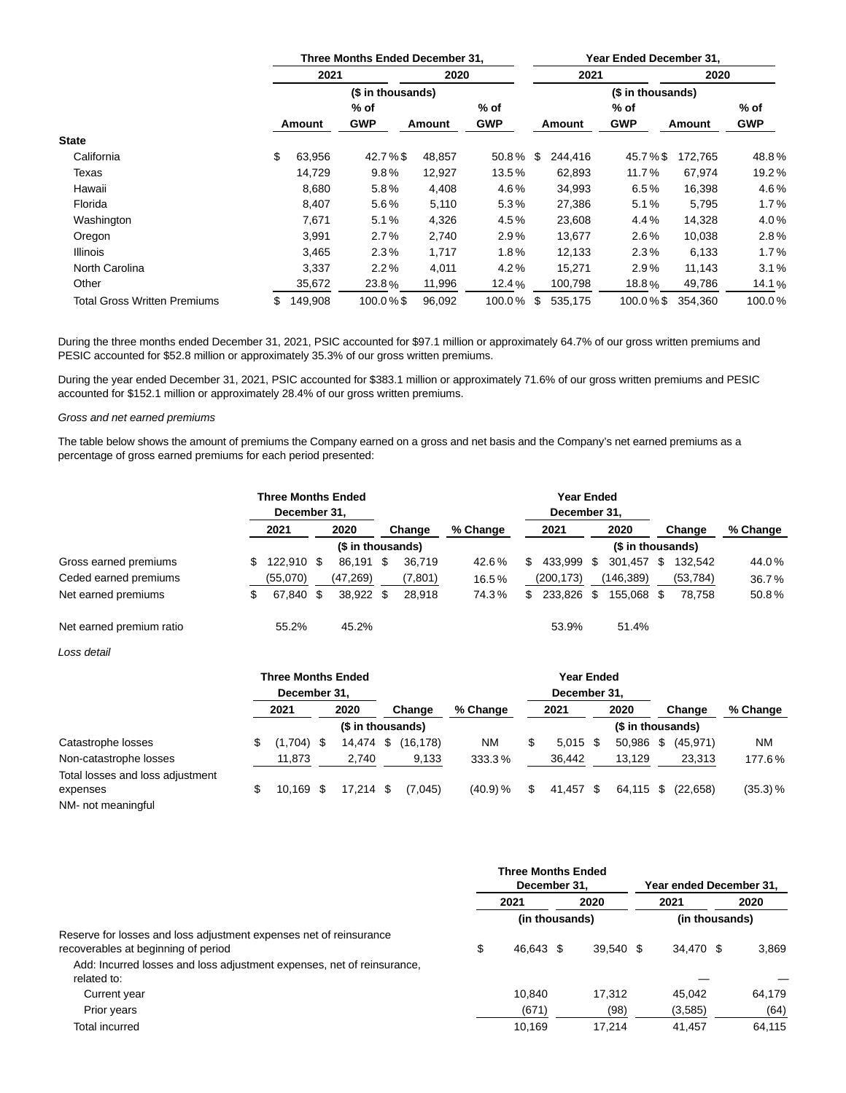|                                     |               | Three Months Ended December 31, |        |            | Year Ended December 31, |                   |         |            |  |  |  |
|-------------------------------------|---------------|---------------------------------|--------|------------|-------------------------|-------------------|---------|------------|--|--|--|
|                                     | 2021          |                                 | 2020   |            | 2021                    |                   | 2020    |            |  |  |  |
|                                     |               | (\$ in thousands)               |        |            |                         | (\$ in thousands) |         |            |  |  |  |
|                                     |               | % of                            |        | $%$ of     |                         | % of              |         | % of       |  |  |  |
|                                     | Amount        | <b>GWP</b>                      | Amount | <b>GWP</b> | Amount                  | <b>GWP</b>        | Amount  | <b>GWP</b> |  |  |  |
| <b>State</b>                        |               |                                 |        |            |                         |                   |         |            |  |  |  |
| California                          | \$<br>63,956  | 42.7%\$                         | 48,857 | 50.8%      | \$<br>244,416           | 45.7%\$           | 172,765 | 48.8%      |  |  |  |
| Texas                               | 14.729        | 9.8%                            | 12,927 | 13.5%      | 62,893                  | 11.7%             | 67,974  | 19.2%      |  |  |  |
| Hawaii                              | 8,680         | 5.8%                            | 4,408  | 4.6%       | 34,993                  | 6.5%              | 16,398  | 4.6%       |  |  |  |
| Florida                             | 8,407         | 5.6%                            | 5,110  | 5.3%       | 27,386                  | $5.1\%$           | 5,795   | 1.7%       |  |  |  |
| Washington                          | 7,671         | 5.1%                            | 4,326  | 4.5%       | 23,608                  | 4.4%              | 14,328  | 4.0%       |  |  |  |
| Oregon                              | 3,991         | 2.7%                            | 2,740  | 2.9%       | 13,677                  | $2.6\%$           | 10,038  | 2.8%       |  |  |  |
| Illinois                            | 3.465         | 2.3%                            | 1.717  | 1.8%       | 12,133                  | 2.3%              | 6,133   | 1.7%       |  |  |  |
| North Carolina                      | 3,337         | 2.2%                            | 4,011  | 4.2%       | 15,271                  | 2.9%              | 11,143  | 3.1%       |  |  |  |
| Other                               | 35,672        | 23.8%                           | 11,996 | 12.4%      | 100,798                 | 18.8%             | 49,786  | 14.1%      |  |  |  |
| <b>Total Gross Written Premiums</b> | \$<br>149,908 | 100.0%\$                        | 96,092 | 100.0%     | 535,175<br>\$           | 100.0%\$          | 354,360 | 100.0%     |  |  |  |

During the three months ended December 31, 2021, PSIC accounted for \$97.1 million or approximately 64.7% of our gross written premiums and PESIC accounted for \$52.8 million or approximately 35.3% of our gross written premiums.

During the year ended December 31, 2021, PSIC accounted for \$383.1 million or approximately 71.6% of our gross written premiums and PESIC accounted for \$152.1 million or approximately 28.4% of our gross written premiums.

## Gross and net earned premiums

The table below shows the amount of premiums the Company earned on a gross and net basis and the Company's net earned premiums as a percentage of gross earned premiums for each period presented:

|                          | <b>Three Months Ended</b> |  |                   |        |          |          |     | <b>Year Ended</b> |                   |            |  |           |          |  |
|--------------------------|---------------------------|--|-------------------|--------|----------|----------|-----|-------------------|-------------------|------------|--|-----------|----------|--|
|                          | December 31.              |  |                   |        |          |          |     | December 31.      |                   |            |  |           |          |  |
|                          | 2021                      |  | 2020              | Change |          | % Change |     | 2021              |                   | 2020       |  | Change    | % Change |  |
|                          |                           |  | (\$ in thousands) |        |          |          |     |                   | (\$ in thousands) |            |  |           |          |  |
| Gross earned premiums    | 122.910 \$                |  | 86.191            | - \$   | 36.719   | 42.6%    | \$. | 433.999           | -SS               | 301.457 \$ |  | 132.542   | 44.0%    |  |
| Ceded earned premiums    | (55,070)                  |  | (47,269)          |        | (7, 801) | 16.5%    |     | (200, 173)        |                   | (146.389)  |  | (53, 784) | 36.7%    |  |
| Net earned premiums      | 67.840                    |  | 38.922 \$         |        | 28.918   | 74.3%    | \$. | 233.826           | \$.               | 155.068    |  | 78.758    | 50.8%    |  |
| Net earned premium ratio | 55.2%                     |  | 45.2%             |        |          |          |     | 53.9%             |                   | 51.4%      |  |           |          |  |

Loss detail

|                                  |    | <b>Three Months Ended</b> |      |                   |        |           |           |   | <b>Year Ended</b> |    |           |                   |           |           |  |
|----------------------------------|----|---------------------------|------|-------------------|--------|-----------|-----------|---|-------------------|----|-----------|-------------------|-----------|-----------|--|
|                                  |    | December 31.              |      |                   |        |           |           |   | December 31.      |    |           |                   |           |           |  |
|                                  |    | 2021                      |      | 2020              | Change |           | % Change  |   | 2021              |    | 2020      |                   | Change    | % Change  |  |
|                                  |    |                           |      | (\$ in thousands) |        |           |           |   |                   |    |           | (\$ in thousands) |           |           |  |
| Catastrophe losses               | S  | (1,704)                   | - \$ | 14.474 \$         |        | (16, 178) | <b>NM</b> | S | 5.015             | -S | 50,986    | \$.               | (45, 971) | <b>NM</b> |  |
| Non-catastrophe losses           |    | 11,873                    |      | 2,740             |        | 9,133     | 333.3%    |   | 36,442            |    | 13,129    |                   | 23,313    | 177.6%    |  |
| Total losses and loss adjustment |    |                           |      |                   |        |           |           |   |                   |    |           |                   |           |           |  |
| expenses                         | \$ | 10.169                    | \$.  | $17.214$ \$       |        | (7.045)   | (40.9) %  |   | 41.457            | S  | 64.115 \$ |                   | (22.658)  | (35.3) %  |  |
| NM- not meaningful               |    |                           |      |                   |        |           |           |   |                   |    |           |                   |           |           |  |

|                                                                                                                                                                                                    |      | <b>Three Months Ended</b><br>December 31. |  |                          | Year ended December 31,     |  |                          |  |
|----------------------------------------------------------------------------------------------------------------------------------------------------------------------------------------------------|------|-------------------------------------------|--|--------------------------|-----------------------------|--|--------------------------|--|
|                                                                                                                                                                                                    | 2021 |                                           |  | 2020                     | 2021                        |  | 2020                     |  |
|                                                                                                                                                                                                    |      | (in thousands)                            |  |                          | (in thousands)              |  |                          |  |
| Reserve for losses and loss adjustment expenses net of reinsurance<br>recoverables at beginning of period<br>Add: Incurred losses and loss adjustment expenses, net of reinsurance,<br>related to: | \$   | 46.643 \$                                 |  | 39.540 \$                | 34.470 \$                   |  | 3,869                    |  |
| Current year<br>Prior years<br><b>Total incurred</b>                                                                                                                                               |      | 10.840<br>(671)<br>10.169                 |  | 17.312<br>(98)<br>17.214 | 45.042<br>(3,585)<br>41.457 |  | 64.179<br>(64)<br>64.115 |  |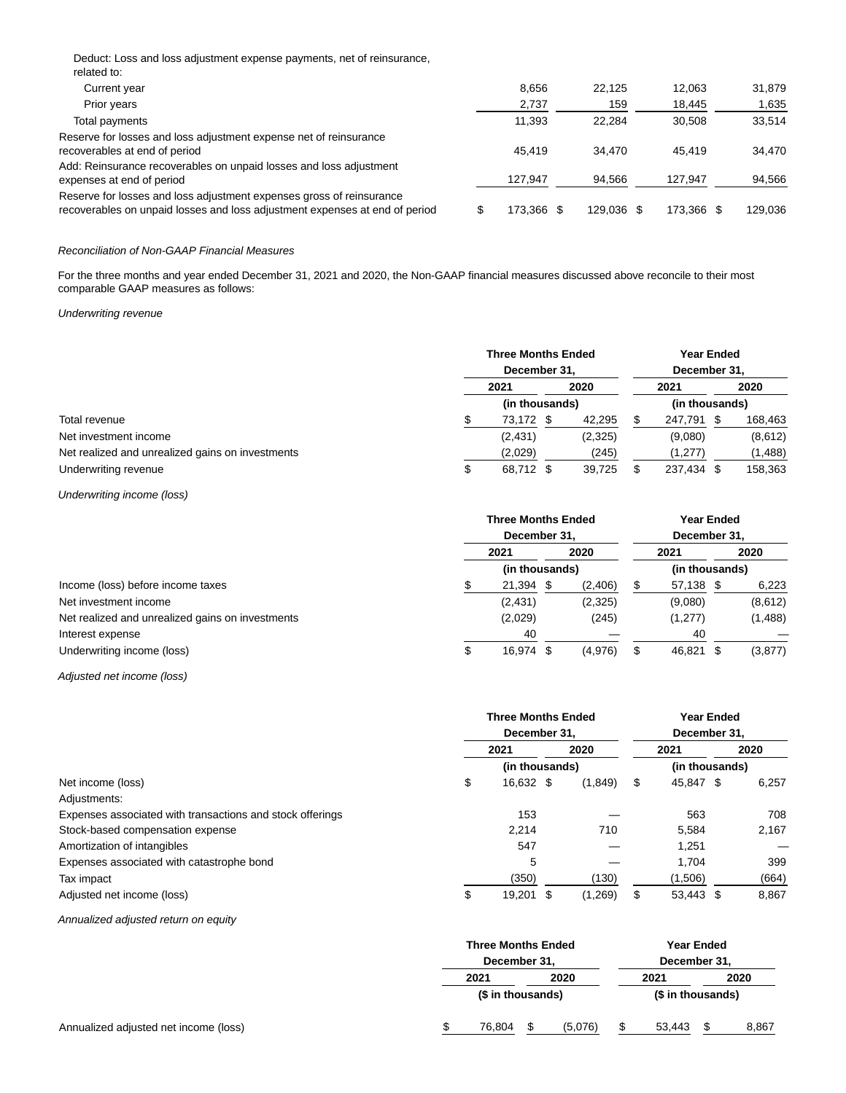Deduct: Loss and loss adjustment expense payments, net of reinsurance,

| 8.656   | 22.125 | 12.063  | 31.879                   |
|---------|--------|---------|--------------------------|
| 2,737   | 159    | 18.445  | 1,635                    |
| 11.393  | 22.284 | 30.508  | 33.514                   |
| 45.419  | 34.470 | 45.419  | 34.470                   |
| 127.947 | 94.566 | 127.947 | 94,566                   |
| 173.366 |        |         | 129,036                  |
|         |        |         | 129.036 \$<br>173.366 \$ |

### Reconciliation of Non-GAAP Financial Measures

For the three months and year ended December 31, 2021 and 2020, the Non-GAAP financial measures discussed above reconcile to their most comparable GAAP measures as follows:

### Underwriting revenue

|                                                  | <b>Three Months Ended</b> |  |         | Year Ended     |         |                      |         |
|--------------------------------------------------|---------------------------|--|---------|----------------|---------|----------------------|---------|
|                                                  | December 31.<br>2021      |  | 2020    | 2021           |         | December 31.<br>2020 |         |
|                                                  | (in thousands)            |  |         | (in thousands) |         |                      |         |
| Total revenue                                    | 73,172                    |  | 42,295  |                | 247,791 |                      | 168,463 |
| Net investment income                            | (2,431)                   |  | (2,325) |                | (9,080) |                      | (8,612) |
| Net realized and unrealized gains on investments | (2,029)                   |  | (245)   |                | (1,277) |                      | (1,488) |
| Underwriting revenue                             | 68.712                    |  | 39,725  |                | 237.434 |                      | 158.363 |

Underwriting income (loss)

|                                                  | <b>Three Months Ended</b><br>December 31. |                |  | <b>Year Ended</b><br>December 31. |                |  |          |
|--------------------------------------------------|-------------------------------------------|----------------|--|-----------------------------------|----------------|--|----------|
|                                                  |                                           | 2021           |  | 2020                              | 2021           |  | 2020     |
|                                                  |                                           | (in thousands) |  |                                   | (in thousands) |  |          |
| Income (loss) before income taxes                |                                           | 21,394         |  | (2,406)                           | 57,138 \$      |  | 6,223    |
| Net investment income                            |                                           | (2, 431)       |  | (2,325)                           | (9,080)        |  | (8,612)  |
| Net realized and unrealized gains on investments |                                           | (2,029)        |  | (245)                             | (1, 277)       |  | (1,488)  |
| Interest expense                                 |                                           | 40             |  |                                   | 40             |  |          |
| Underwriting income (loss)                       | S                                         | 16.974 \$      |  | (4,976)                           | 46,821         |  | (3, 877) |

## Adjusted net income (loss)

|                                                           | <b>Three Months Ended</b><br>December 31. |                |         | Year Ended<br>December 31, |                |  |       |
|-----------------------------------------------------------|-------------------------------------------|----------------|---------|----------------------------|----------------|--|-------|
|                                                           |                                           | 2021           | 2020    | 2021                       |                |  | 2020  |
|                                                           |                                           | (in thousands) |         |                            | (in thousands) |  |       |
| Net income (loss)                                         | \$                                        | 16.632 \$      | (1,849) | S                          | 45,847 \$      |  | 6,257 |
| Adjustments:                                              |                                           |                |         |                            |                |  |       |
| Expenses associated with transactions and stock offerings |                                           | 153            |         |                            | 563            |  | 708   |
| Stock-based compensation expense                          |                                           | 2.214          | 710     |                            | 5.584          |  | 2,167 |
| Amortization of intangibles                               |                                           | 547            |         |                            | 1.251          |  |       |
| Expenses associated with catastrophe bond                 |                                           | 5              |         |                            | 1.704          |  | 399   |
| Tax impact                                                |                                           | (350)          | (130)   |                            | (1,506)        |  | (664) |
| Adjusted net income (loss)                                | S                                         | 19.201         | (1,269) |                            | 53.443 \$      |  | 8.867 |

Annualized adjusted return on equity

| <b>Three Months Ended</b> |              |      |         |                           |              |      |                                 |  |  |
|---------------------------|--------------|------|---------|---------------------------|--------------|------|---------------------------------|--|--|
|                           | December 31, |      |         |                           | December 31, |      |                                 |  |  |
|                           |              |      |         |                           |              |      | 2020                            |  |  |
|                           |              |      |         |                           |              |      |                                 |  |  |
|                           | 76,804       |      | (5,076) |                           | 53.443       |      | 8,867                           |  |  |
|                           |              | 2021 |         | 2020<br>(\$ in thousands) |              | 2021 | Year Ended<br>(\$ in thousands) |  |  |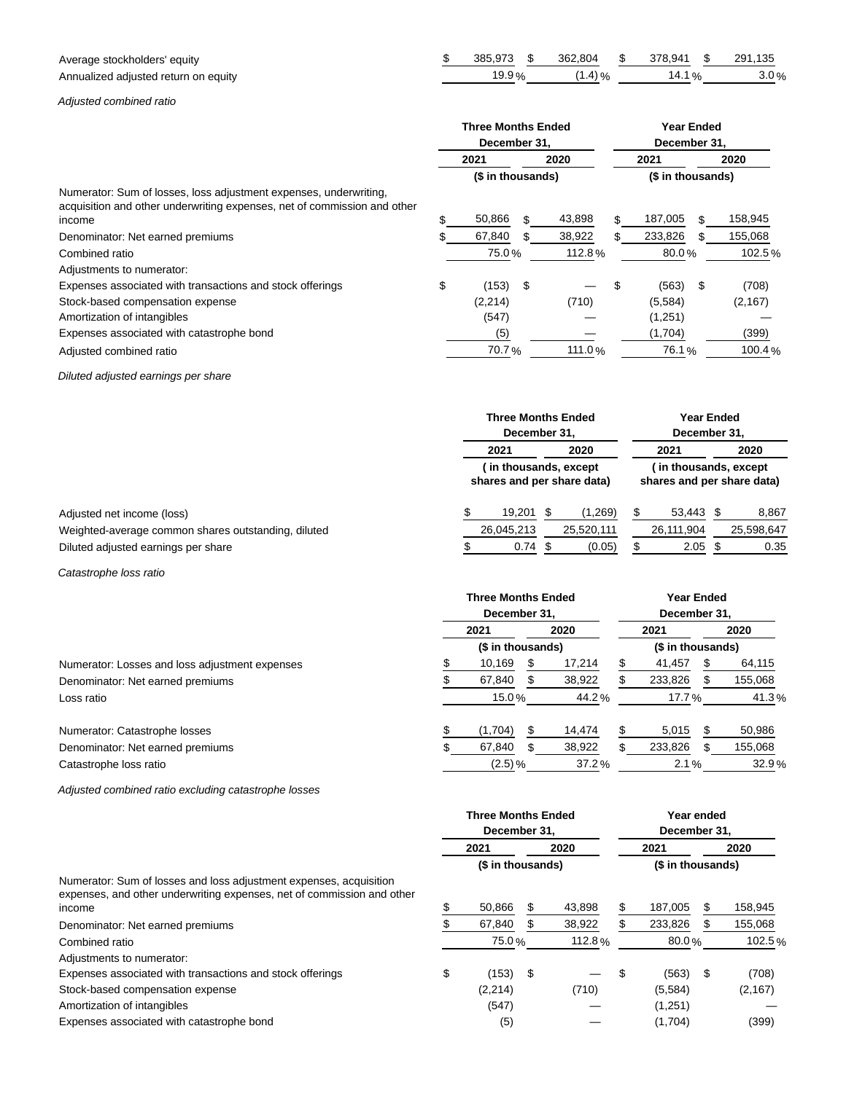| Average stockholders' equity         | 385.973 | 362.804 | 378.941 | 291.135 |
|--------------------------------------|---------|---------|---------|---------|
| Annualized adjusted return on equity |         | (1.4)%  | 14.1 %  | $3.0\%$ |

## Adjusted combined ratio

|                                                                                                                                               | <b>Three Months Ended</b><br>December 31. |                   |     |        | <b>Year Ended</b><br>December 31. |                   |      |          |
|-----------------------------------------------------------------------------------------------------------------------------------------------|-------------------------------------------|-------------------|-----|--------|-----------------------------------|-------------------|------|----------|
|                                                                                                                                               |                                           | 2020<br>2021      |     | 2021   |                                   |                   | 2020 |          |
|                                                                                                                                               |                                           | (\$ in thousands) |     |        |                                   | (\$ in thousands) |      |          |
| Numerator: Sum of losses, loss adjustment expenses, underwriting,<br>acquisition and other underwriting expenses, net of commission and other |                                           |                   |     |        |                                   |                   |      |          |
| income                                                                                                                                        |                                           | 50,866            | \$. | 43,898 | \$                                | 187,005           | \$   | 158,945  |
| Denominator: Net earned premiums                                                                                                              |                                           | 67,840            | £.  | 38,922 |                                   | 233,826           | \$.  | 155,068  |
| Combined ratio                                                                                                                                |                                           | 75.0%             |     | 112.8% |                                   | 80.0%             |      | 102.5%   |
| Adjustments to numerator:                                                                                                                     |                                           |                   |     |        |                                   |                   |      |          |
| Expenses associated with transactions and stock offerings                                                                                     | \$                                        | (153)             | \$  |        | S                                 | (563)             | \$   | (708)    |
| Stock-based compensation expense                                                                                                              |                                           | (2,214)           |     | (710)  |                                   | (5, 584)          |      | (2, 167) |
| Amortization of intangibles                                                                                                                   |                                           | (547)             |     |        |                                   | (1,251)           |      |          |
| Expenses associated with catastrophe bond                                                                                                     |                                           | (5)               |     |        |                                   | (1,704)           |      | (399)    |
| Adjusted combined ratio                                                                                                                       |                                           | 70.7%             |     | 111.0% |                                   | 76.1%             |      | 100.4%   |

Diluted adjusted earnings per share

|                                                     | <b>Three Months Ended</b><br>December 31.          |            |  | <b>Year Ended</b><br>December 31.                   |  |            |  |            |
|-----------------------------------------------------|----------------------------------------------------|------------|--|-----------------------------------------------------|--|------------|--|------------|
|                                                     |                                                    | 2021       |  | 2020                                                |  | 2021       |  | 2020       |
|                                                     | in thousands, except<br>shares and per share data) |            |  | (in thousands, except<br>shares and per share data) |  |            |  |            |
| Adjusted net income (loss)                          |                                                    | 19,201     |  | (1,269)                                             |  | 53,443 \$  |  | 8.867      |
| Weighted-average common shares outstanding, diluted |                                                    | 26,045,213 |  | 25,520,111                                          |  | 26,111,904 |  | 25,598,647 |
| Diluted adjusted earnings per share                 |                                                    | 0.74       |  | (0.05)                                              |  | $2.05$ \$  |  | 0.35       |

Catastrophe loss ratio

|                                                | <b>Three Months Ended</b><br>December 31, |                   |     |          | <b>Year Ended</b><br>December 31. |                   |    |         |
|------------------------------------------------|-------------------------------------------|-------------------|-----|----------|-----------------------------------|-------------------|----|---------|
|                                                |                                           | 2021              |     | 2020     |                                   | 2021              |    | 2020    |
|                                                |                                           | (\$ in thousands) |     |          |                                   | (\$ in thousands) |    |         |
| Numerator: Losses and loss adjustment expenses |                                           | 10,169            |     | 17,214   |                                   | 41,457            |    | 64,115  |
| Denominator: Net earned premiums               |                                           | 67,840            |     | 38,922   |                                   | 233,826           |    | 155,068 |
| Loss ratio                                     |                                           | 15.0%             |     | 44.2%    |                                   | $17.7\%$          |    | 41.3%   |
| Numerator: Catastrophe losses                  |                                           | (1,704)           |     | 14,474   |                                   | 5.015             |    | 50,986  |
| Denominator: Net earned premiums               |                                           | 67,840            | \$. | 38,922   |                                   | 233,826           | £. | 155,068 |
| Catastrophe loss ratio                         |                                           | $(2.5)$ %         |     | $37.2\%$ |                                   | 2.1%              |    | 32.9%   |

Adjusted combined ratio excluding catastrophe losses

|                                                                                                                                                        | <b>Three Months Ended</b><br>December 31. |                   |      |           | Year ended<br>December 31. |                   |    |         |  |
|--------------------------------------------------------------------------------------------------------------------------------------------------------|-------------------------------------------|-------------------|------|-----------|----------------------------|-------------------|----|---------|--|
|                                                                                                                                                        | 2020<br>2021                              |                   | 2021 |           | 2020                       |                   |    |         |  |
|                                                                                                                                                        |                                           | (\$ in thousands) |      |           |                            | (\$ in thousands) |    |         |  |
| Numerator: Sum of losses and loss adjustment expenses, acquisition<br>expenses, and other underwriting expenses, net of commission and other<br>income |                                           | 50,866            | S    | 43,898    | S                          | 187,005           |    | 158,945 |  |
| Denominator: Net earned premiums                                                                                                                       |                                           | 67,840            |      | 38,922    |                            | 233,826           |    | 155,068 |  |
| Combined ratio<br>Adjustments to numerator:                                                                                                            |                                           | 75.0%             |      | 112.8 $%$ |                            | 80.0%             |    | 102.5%  |  |
| Expenses associated with transactions and stock offerings                                                                                              | \$                                        | (153)             | \$   |           | \$                         | (563)             | \$ | (708)   |  |
| Stock-based compensation expense                                                                                                                       |                                           | (2,214)           |      | (710)     |                            | (5,584)           |    | (2,167) |  |
| Amortization of intangibles                                                                                                                            |                                           | (547)             |      |           |                            | (1,251)           |    |         |  |
| Expenses associated with catastrophe bond                                                                                                              |                                           | (5)               |      |           |                            | (1,704)           |    | (399)   |  |